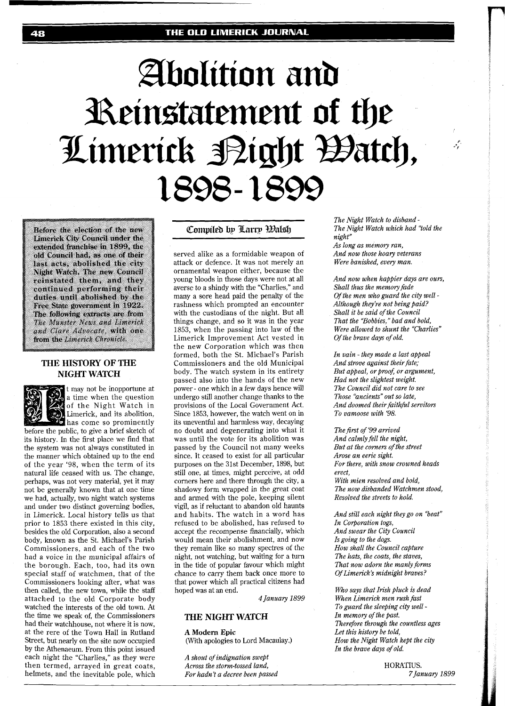#### THE OLD LIMERICK JOURNAL

# Abolition and Reinstatement of the Limerick Bight Batch, 1898-1899

Before the election of the new Limerick City Council under the extended franchise in 1899, the old Council had, as one of their last acts, abolished the city Night Watch. The new Council reinstated them, and they continued performing their duties until abolished by the Free State government in 1922. The following extracts are from The Munster News and Limerick and Clare Advocate, with one from the Limerick Chronicle.

## **THE HISTORY OF THE NIGHT WATCH**

t may not be inopportune at a time when the question of the Night Watch in Limerick, and its abolition, has come so prominently before the public, to give a brief sketch of its history. In the first place we find that the system was not always constituted in the manner which obtained up to the end of the year '98, when the term of its natural life ceased with us. The change, perhaps, was not very material, yet it may not be generally known that at one time we had, actually, two night watch systems and under two distinct governing bodies, in Limerick. Local history tells us that prior to 1853 there existed in this city, besides the old Corporation, also a second body, known as the St. Michael's Parish Commissioners, and each of the two had a voice in the municipal affairs of the borough. Each, too, had its own special staff of watchmen, that of the Commissioners looking after, what was then called, the new town, while the staff attached to the old Corporate body watched the interests of the old town. At the time we speak of, the Commissioners had their watchhouse, not where it is now, at the rere of the Town Hall in Rutland Street, but nearly on the site now occupied by the Athenaeum. From this point issued each night the "Charlies," as they were then termed, arrayed in great coats,

helmets, and the inevitable pole, which

## Compiled by Larry Walsh

served alike as a formidable weapon of attack or defence. It was not merely an ornamental weapon either, because the young bloods in those days were not at all averse to a shindy with the "Charlies," and many a sore head paid the penalty of the rashness which prompted an encounter with the custodians of the night. But all things change, and so it was in the year 1853, when the passing into law of the Limerick Improvement Act vested in the new Corporation which was then formed, both the St. Michael's Parish Commissioners and the old Municipal body. The watch system in its entirety passed also into the hands of the new power - one which in a few days hence will undergo still another change thanks to the provisions of the Local Government Act. Since 1853, however, the watch went on in its uneventful and harmless way, decaying no doubt and degenerating into what it was until the vote for its abolition was passed by the Council not many weeks since. It ceased to exist for all particular purposes on the 31st December, 1898, but still one, at times, might perceive, at odd corners here and there through the city, a shadowy form wrapped in the great coat and armed with the pole, keeping silent vigil, as if reluctant to abandon old haunts and habits. The watch in a word has refused to be abolished, has refused to accept the recompense financially, which would mean their abolishment, and now they remain like so many spectres of the night, not watching, but waiting for a turn in the tide of popular favour which might chance to carry them back once more to that power which all practical citizens had hoped was at an end.

*4 January 1899* 

#### **THE NIGHT WATCH**

**A Modern Epic**  (With apologies to Lord Macaulay.)

*A shout of indignation swept Across the storm-tossed land, For hadn't a decree been passed*  *The Night Watch to disband* - *The Night Watch which had "told the night" As long as memory ran,* 

يمني

*And now those hoary veterans Were banished, every man.* 

*And now when happier days are ours, Shall thus the memory fade Of the men who guard the city well* - Although they're not being paid? *Shall it be said of the Council That the "Bobbies," bad and bold, Were allowed to shunt the "Charlies" Of the brave days of old.* 

*In vain* - *they made a last appeal And strove against their fate; But appeal, or proof; or argument, Had not the slightest weight. The Council did not care to see Those "ancients" out so late, And doomed their faithful servitors To vamoose with '98.* 

*The first of '99 arrived And calmly fell the night, But at the corners of the street Arose an eerie sight. For there, with snow crowned heads erect, With mien resolved and bold, The now disbanded Watchmen stood, Resolved the streets to hold.* 

*And still each night they go on "beat" In Corporation togs, And swear the City Council Is going to the dogs. How shall the Council capture The hats, the coats, the staves, That now adorn the manly firms Of Limerick's midnight braves?* 

*Who says that Irish pluck is dead When Limerick men rush fast To guard the sleeping city well* - *In memory of the past. Therefore through the countless ages Let this history be told, How the Night Watch kept the city In the brave days of old.* 

> HORATIUS. *7 January 1899*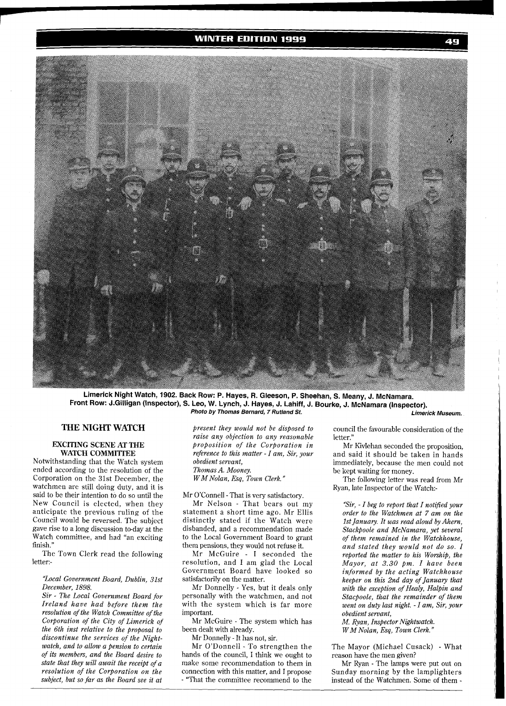## **WINTER EDITION 1999**



Limerick Night Watch, 1902. Back Row: P. Hayes, R. Gleeson, P. Sheehan, S. Meany, J. McNamara. Front Row: J.Gilligan (Inspector), S. Leo, W. Lynch, J. Hayes, J. Lahiff, J. Bourke, J. McNamara (Inspector).<br>*Photo by Thomas Bernard, 7 Rutland St. Limerick Museum. Limerick Museum.* 

## **THE NIGHT WATCH**

#### **EXCITING SCENE AT THE WATCH COMMI'ITEE**

Notwithstanding that the Watch system ended according to the resolution of the Corporation on the 31st December, the watchmen are still doing duty, and it is said to be their intention to do so until the New Council is elected, when they anticipate the previous ruling of the Council would be reversed. The subject gave rise to a long discussion to-day at the Watch committee, and had "an exciting finish."

The Town Clerk read the following letter:-

#### *'Zocal Government Board, Dublin, 31st December, 1898.*

*Sir* - *The Local Government Board for Ireland have had before them the resolution of the Watch Committee of the Corporation of the City of Limerick of the 6th inst relative to the proposal to discontinue the services of the Nightwatch, and to allow a pension to certain of its members, and the Board desire to state that they will await the receipt of a resolution of the Corporation on the subject, but so far as the Board see it at* 

*present they would not be disposed to raise any objection to any reasonable proposition of the Corporation in reference to this matter* - *I am, Sir, your obedient servant, Thomas A. Mooney. WMNolan, Esq, Town Clerk."* 

Mr O'Connell -That is very satisfactory.

Mr Nelson - That bears out my statement a short time ago. Mr Ellis distinctly stated if the Watch were disbanded, and a recommendation made to the Local Government Board to grant them pensions, they would not refuse it.

Mr McGuire - I seconded the resolution, and I am glad the Local Government Board have looked so satisfactorily on the matter.

Mr Donnelly - Yes, but it deals only personally with the watchmen, and not with the system which is far more important.

Mr McGuire - The system which has been dealt with already.

Mr Donnelly - It has not, sir.

Mr O'Donnell - To strengthen the hands of the council, I think we ought to make some recommendation to them in connection with this matter, and I propose - "That the committee recommend to the

council the favourable consideration of the letter."

Mr Kivlehan seconded the proposition, and said it should be taken in hands immediately, because the men could not be kept waiting for money.

The following letter was read from Mr Ryan, late Inspector of the Watch:-

*"Sir,* - *I beg to report that I notified your order to the Watchmen at 7 am on the 1st January. It was read aloud by Ahern, Stackpoole and McNamara, yet several of them remained in the Watchhouse, and stated they would not do so. I reported the matter to his Worship, the Mayor, at 3.30 pm. I have been informed by the acting Watchhouse keeper on this 2nd day of January that with the exception of Healy, Halpin and Stacpoole, that the remainder of them went on duty last night. -I am, Sir, your obedient servant,* 

*M. Ryan, Inspector Nightwatch.* 

*W M Nolan, Esq, Town Clerk."* 

The Mayor (Michael Cusack) - What reason have the men given?

Mr Ryan - The lamps were put out on Sunday morning by the lamplighters instead of the Watchmen. Some of them -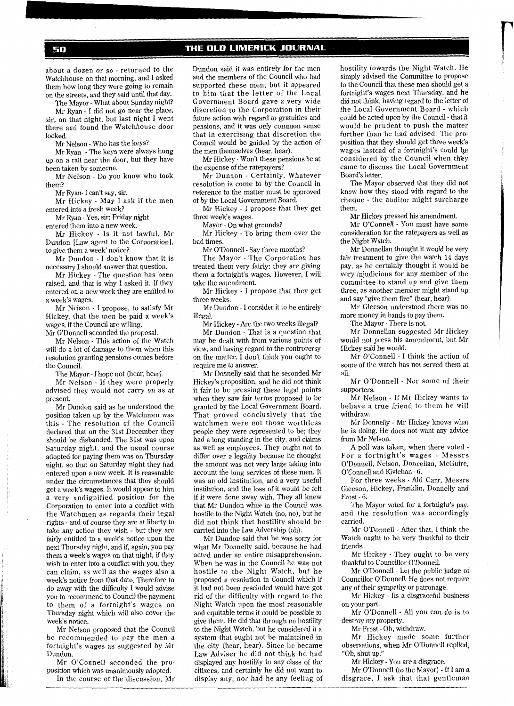50

about a dozen or so - returned to the Watchhouse on that morning, and I asked them how long they were going to remain on the streets, and they said until that day.

The Mayor -What about Sunday night? Mr Ryan - I did not go near the place, sir, on that night, but last night I went there and found the Watchhouse door locked.

Mr Nelson - Who has the keys?

Mr Ryan - The keys were always hung up on a rail near the door, but they have been taken by someone.

Mr Nelson - Do you know who took them?

Mr Ryan- I can't say, sir.

Mr Hickey - May I ask if the men entered into a fresh week?

Mr Ryan - Yes, sir; Friday night entered them into a new week.

Mr Hickey - Is it not lawful, Mr Dundon [Law agent to the Corporation], to give them a week' notice?

Mr Dundon - I don't know that it is necessary I should answer that question.

Mr Hickey - The question has been raised, and that is why I asked it. If they entered on a new week they are entitled to a week's wages.

Mr Nelson - I propose, to satisfy Mr Hickey, that the men be paid a week's wages, if the Council are willing.

Mr O'Donnell seconded the proposal.

Mr Nelson - This action of the Watch will do a lot of damage to them when this resolution granting pensions comes before the Council.

The Mayor - I hope not (hear, hear).

Mr Nelson - If they were properly advised they would not carry on as at present.

Mr Dundon said as he understood the position taken up by the Watchmen was this - The resolution of the Council declared that on the 31st December they should be disbanded. The 31st was upon Saturday night, and the usual course adopted for paying them was on Thursday night, so that on Saturday night they had entered upon a new week. It is reasonable under the circumstances that they should get a week's wages. It would appear to him a very undignified position for the Corporation to enter into a conflict with the Watchmen as regards their legal rights - and of course they are at liberty to take any action they wish - but they are fairly entitled to a week's notice upon the next Thursday night, and if, again, you pay them a week's wages on that night, if they wish to enter into a conflict with you, they can claim, as well as the wages also a week's notice from that date. Therefore to do away with the difficulty 1 would advise you to recommend to Council the payment to them of a fortnight's wages on Thursday night which will also cover the week's notice.

Mr Nelson proposed that the Council be recommended to pay the men a fortnight's wages as suggested by Mr Dundon.

Mr O'Connell seconded the proposition which was unanimously adopted. In the course of the discussion, Mr

Dundon said it was entirely for the men and the members of the Council who had supported these men; but it appeared to him that the letter of the Local Government Board gave a very wide discretion to the Corporation in their future action with regard to gratuities and pensions, and it was only common sense that in exercising that discretion the Council would be guided by the action of the men themselves (hear, hear).

Mr Hickey - Won't these pensions be at the expense of the ratepayers?

Mr Dundon - Certainly. Whatever resolution is come to by the Council in reference to the matter must be approved of by the Local Government Board.

Mr Hickey - I propose that they get three week's wages.

Mayor - On what grounds?

Mr Hickey - To bring them over the bad times.

Mr O'Donnell - Say three months?

The Mayor - The Corporation has treated them very fairly: they are giving them a fortnight's wages. However, I will take the amendment.

Mr Hickey - I propose that they get three weeks.

Mr Dundon - I consider it to be entirely illegal.

Mr Hickey -Are the two weeks illegal?

Mr Dundon - That is a question that may be dealt with from various points of view, and having regard to the controversy on the matter, I don't think you ought to require me to answer.

Mr Donnelly said that he seconded Mr Hickey's proposition, and he did not think it fair to be pressing these legal points when they saw fair terms proposed to be granted by the Local Government Board. That proved conclusively that the watchmen were not those worthless people they were represented to be; they had a long standing in the city, and claims as well as employees. They ought not to differ over a legality because he thought the amount was not very large taking into account the long services of these men. It was an old institution, and a very useful institution, and the loss of it would be felt if it were done away with. They all knew that Mr Dundon while in the Council was hostile to the Night Watch (no, no), but he did not think that hostility should be carried into the Law Advership (oh).

Mr Dundon said that he was sorry for what Mr Donnelly said, because he had acted under an entire misapprehension. When he was in the Council he was not hostile to the Night Watch, but he proposed a resolution in Council which if it had not been rescinded would have got rid of the difficulty with regard to the Night Watch upon the most reasonable and equitable terms it could be possible to give them. He did that through no hostility to the Night Watch, but he considered it a system that ought not be maintained in the city (hear, hear). Since he became Law Adviser he did not think he had displayed any hostility to any class of the citizens, and certainly he did not want to display any, nor had he any feeling of

hostility towards the Night Watch. He simply advised the Committee to propose to the Council that these men should get a fortnight's wages next Thursday, and he did not think, having regard to the letter of the Local Government Board - which could be acted upon by the Council - that it would be prudent to push the matter further than he had advised. The proposition that they should get three weak's wages instead of a fortnight's could be considered by the Council when th'ey came to discuss the Local Government Board's letter.

The Mayor observed that they did not know how they stood with regard to the cheque - the auditor might surcharge them.

Mr Hickey pressed his amendment.

Mr O'Connell - You must have some consideration for the ratepayers as well as the Night Watch.

Mr Donnellan thought it would be very fair treatment to give the watch 14 days pay, as he certainly thought it would be very injudicious for any member of the committee to stand up and give them three, as another member might stand up and say "give them five" (hear, hear).

Mr Gleeson understood there was no more money in hands to pay them.

The Mayor -There is not.

Mr Donnellan suggested Mr Hickey would not press his amendment, but Mr Hickey said he would.

Mr O'Connell - I think the action of some of the watch has not served them at all.

Mr O'Donnell - Nor some of their supporters.

Mr Nelson - If Mr Hickey wants to behave a true friend to them he will withdraw.

Mr Donnelly - Mr Hickey knows what he is doing. He does not want any advice from Mr Nelson.

A poll was taken, when there voted - For a fortnight's wages - Messrs O'Donnell, Nelson, Donnellan, McGuire, O'Connell and Kivlehan - 6.

For three weeks - Ald Carr, Messrs Gleeson, Hickey, Franklin, Donnelly and Frost - 6.

The Mayor voted for a fortnight's pay, and the resolution was accordingly carried.

Mr O'Donnell - After that, I think the Watch ought to be very thankful to their friends.

Mr Hickey - They ought to be very thankful to Councillor O'Donnell.

Mr O'Donnell - Let the public judge of Councillor O'Donnell. He does not require any of their sympathy or patronage.

Mr Hickey - Its a disgraceful business on your part.

Mr O'Donnell - All you can do is to destroy my property.

Mr Frost - Oh, withdraw.

Mr Hickey made some further observations, when Mr O'Donnell replied, "Oh, shut up."

Mr Hickey - You are a disgrace.

Mr O'Donnell (to the Mayor) - If I am a disgrace, I ask that that gentleman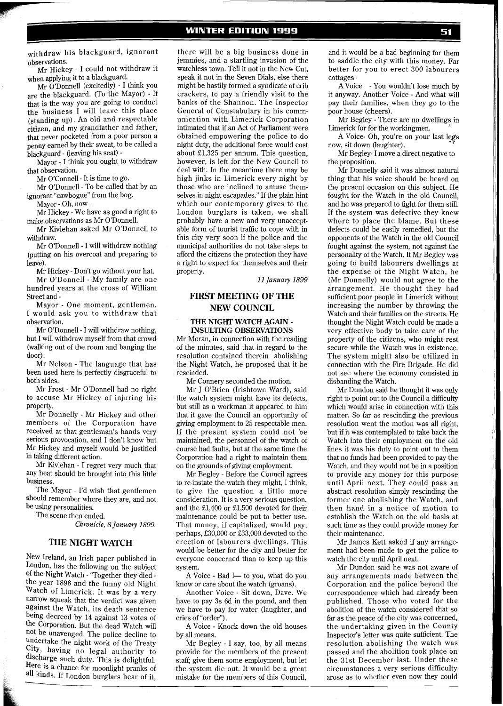## **WINTER EDITION 1999**

withdraw his blackguard, ignorant observations.

Mr Hickey - I could not withdraw it when applying it to a blackguard.

Mr O'Donnell (excitedly) - I think you are the blackguard. (To the Mayor) - If that is the way you are going to conduct the business I will leave this place (standing up). An old and respectable citizen, and my grandfather and father, that never pocketed from a poor person a penny earned by their sweat, to be called a blackguard - (leaving his seat) -

Mayor - I think you ought to withdraw that observation.

Mr O'Connell - It is time to go.

Mr O'Donnell - To be called that by an ignorant "cawbogue" from the bog.

Mayor - Oh, now -

Mr Hickey - We have as good a right to make observations as Mr O'Donnell.

Mr Kivlehan asked Mr O'Donnell to withdraw.

Mr O'Donnell - I will withdraw nothing (putting on his overcoat and preparing to leave)

Mr Hickey - Don't go without your hat.

Mr O'Donnell - My family are one hundred years at the cross of William Street and -

Mayor - One moment, gentlemen. I would ask you to withdraw that observation.

Mr O'Donnell - I will withdraw nothing, but I will withdraw myself from that crowd (walking out of the room and banging the door).

Mr Nelson - The language that has been used here is perfectly disgraceful to both sides.

Mr Frost - Mr O'Donnell had no right to accuse Mr Hickey of injuring his property.

Mr Donnelly - Mr Hickey and other members of the Corporation have received at that gentleman's hands very serious provocation, and I don't know but Mr Hickey and myself would be justified in taking different action.

Mr Kivlehan - I regret very much that any heat should be brought into this little business.

The Mayor - I'd wish that gentlemen should remember where they are, and not be using personalities.

The scene then ended.

*Chronicle, 8 January 1899.* 

#### **THE NIGHT WATCH**

New Ireland, an Irish paper published in London, has the following on the subject of the Night Watch - 'Together they died the year 1898 and the funny old Night Watch of Limerick. It was by a very narrow squeak that the verdict was given against the Watch, its death sentence being decreed by 14 against 13 votes of the Corporation. But the dead Watch will not be unavenged. The police decline to undertake the night work of the Treaty City, having no legal authority to discharge such duty. This is delightful. Here is a chance for moonlight pranks of all kinds. If London burglars hear of it,

there will be a big business done in jemmies, and a startling invasion of the watchless town. Tell it not in the New Cut, speak it not in the Seven Dials, else there might be hastily formed a syndicate of crib crackers, to pay a friendly visit to the banks of the Shannon. The Inspector General of Constabulary in his communication with Limerick Corporation intimated that if an Act of Parliament were obtained empowering the police to do night duty, the additional force would cost about £1,325 per annum. This question, however, is left for the New Council to deal with. In the meantime there may be high jinks in Limerick every night by those who are inclined to amuse themselves in night escapades." If the plain hint which our contemporary gives to the London burglars is taken, we shall probably have a new and very unacceptable form of tourist traffic to cope with in this city very soon if the police and the municipal authorities do not take steps to afford the citizens the protection they have a right to expect for themselves and their property.

*11 January 1899* 

## **FIRST MEETING OF THE NEW COUNCIL**

#### **THE NIGHT WATCH AGAIN** - **INSULTING OBSERVATIONS**

Mr Moran, in connection with the reading of the minutes, said that in regard to the resolution contained therein abolishing the Night Watch, he proposed that it be rescinded.

Mr Connery seconded the motion.

Mr J O'Brien (Irishtown Ward), said the watch system might have its defects, but still as a workman it appeared to him that it gave the Council an opportunity of giving employment to 25 respectable men. If the present system could not be maintained, the personnel of the watch of course had faults, but at the same time the Corporation had a right to maintain them on the grounds of giving employment.

Mr Begley - Before the Council agrees to re-instate the watch they might, I think, to give the question a little more consideration. It is a very serious question, and the £1,400 or £1,500 devoted for their maintenance could be put to better use. That money, if capitalized, would pay, perhaps, £30,000 or £33,000 devoted to the erection of labourers dwellings. This would be better for the city and better for everyone concerned than to keep up this system.

A Voice - Bad 1- to you, what do you know or care about the watch (groans).

Another Voice - Sit down, Dave. We have to pay 3s 6d in the pound, and then we have to pay for water (laughter, and cries of "order").

A Voice - Knock down the old houses by all means.

Mr Begley - I say, too, by all means provide for the members of the present staff; give them some employment, but let the system die out. It would be a great mistake for the members of this Council,

and it would be a bad beginning for them to saddle the city with this money. Far better for you to erect 300 labourers cottages -

A Voice - You wouldn't lose much by it anyway. Another Voice - And what will pay their families, when they go to the poor house (cheers).

Mr Begley - There are no dwellings in Limerick for for the workingmen.

A Voice- Oh, you're on your last legs now, sit down (laughter). *<sup>I</sup>*

Mr Begley- I move a direct negative to the proposition.

Mr Donnelly said it was almost natural thing that his voice should be heard on the present occasion on this subject. He fought for the Watch in the old Council, and he was prepared to fight for them still. If the system was defective they knew where to place the blame. But these defects could be easily remedied, but the opponents of the Watch in the old Council fought against the system, not against the personality of the Watch. If Mr Begley was going to build labourers dwellings at the expense of the Night Watch, he (Mr Donnelly) would not agree to the arrangement. He thought they had sufficient poor people in Limerick without increasing the number by throwing the Watch and their families on the streets. He thought the Night Watch could be made a very effective body to take care of the property of the citizens, who might rest secure while the Watch was in existence. The system might also be utilized in connection with the Fire Brigade. He did not see where the economy consisted in disbanding the Watch.

Mr Dundon said he thought it was only right to point out to the Council a difficulty which would arise in connection with this matter. So far as rescinding the previous resolution went the motion was all right, but **if** it was contemplated to take back the Watch into their employment on the old lines it was his duty to point out to them that no funds had been provided to pay the Watch, and they would not be in a position to provide any money for this purpose until April next. They could pass an abstract resolution simply rescinding the former one abolishing the Watch, and then hand in a notice of motion to establish the Watch on the old basis at such time as they could provide money for their maintenance.

Mr James Kett asked if any arrangement had been made to get the police to watch the city until April next.

Mr Dundon said he was not aware of any arrangements made between the Corporation and the police beyond the correspondence which had already been published. Those who voted for the abolition of the watch considered that so far as the peace of the city was concerned, the undertaking given in the County Inspector's letter was quite sufficient. The resolution abolishing the watch was passed and the abolition took place on the 31st December last. Under these circumstances a very serious difficulty arose as to whether even now they could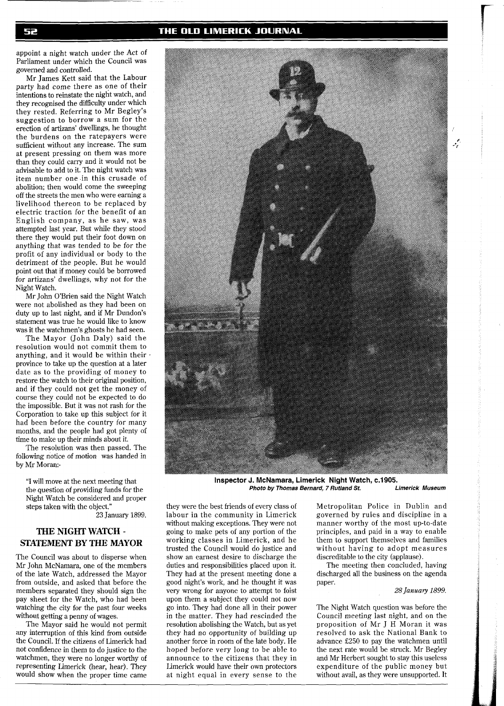## THE OLD LIMERICK JOURNAL

appoint a night watch under the Act of Parliament under which the Council was governed and controlled.

Mr James Kett said that the Labour party had come there as one of their intentions to reinstate the night watch, and they recognised the difficulty under which they rested. Referring to Mr Begley's suggestion to borrow a sum for the erection of artizans' dwellings, he thought the burdens on the ratepayers were sufficient without any increase. The sum at present pressing on them was more than they could carry and it would not be advisable to add to it. The night watch was item number one in this crusade of abolition; then would come the sweeping off the streets the men who were earning a livelihood thereon to be replaced by electric traction for the benefit of an English company, as he saw, was attempted last year. But while they stood there they would put their foot down on anything that was tended to be for the profit of any individual or body to the detriment of the people. But he would point out that if money could be borrowed for artizans' dwellings, why not for the Night Watch.

Mr John O'Brien said the Night Watch were not abolished as they had been on duty up to last night, and if Mr Dundon's statement was true he would like to know was it the watchmen's ghosts he had seen.

The Mayor (John Daly) said the resolution would not commit them to anything, and it would be within their  $\cdot$ province to take up the question at a later date as to the providing of money to restore the watch to their original position, and if they could not get the money of course they could not be expected to do the impossible. But it was not rash for the Corporation to take up this subject for it had been before the country for many months, and the people had got plenty of time to make up their minds about it.

The resolution was then passed. The following notice of motion was handed in by Mr Moran:-

"I will move at the next meeting that the question of providing funds for the Night Watch be considered and proper steps taken with the object." 23 January 1899.

# **THE NIGHT WATCH** - **STATEMENT BY THE MAYOR**

The Council was about to disperse when Mr John McNamara, one of the members of the late Watch, addressed the Mayor from outside, and asked that before the members separated they should sign the pay sheet for the Watch, who had been watching the city for the past four weeks without getting a penny of wages.

The Mayor said he would not permit any interruption of this kind from outside the Council. If the citizens of Limerick had not confidence in them to do justice to the watchmen, they were no longer worthy of representing Limerick (hear, hear). They would show when the proper time came

**Photo by Thomas Bernard, 7 Rutland St.** 

they were the best friends of every class of labour in the community in Limerick without making exceptions. They were not going to make pets of any portion of the working classes in Limerick, and he trusted the Council would do justice and show an earnest desire to discharge the duties and responsibilities placed upon it. They had at the present meeting done a good night's work, and he thought it was very wrong for anyone to attempt to foist upon them a subject they could not now go into. They had done all in their power in the matter. They had rescinded the resolution abolishing the Watch, but as yet they had no opportunity of building up another force in room of the late body. He hoped before very long to be able to announce to the citizens that they in Limerick would have their own protectors at night equal in every sense to the

Metropolitan Police in Dublin and governed by rules and discipline in a manner worthy of the most up-to-date principles, and paid in a way to enable them to support themselves and families without having to adopt measures discreditable to the city (applause).

The meeting then concluded, having discharged all the business on the agenda paper.

#### 28 *January 1899.*

The Night Watch question was before the Council meeting last night, and on the proposition of Mr J H Moran it was resolved to ask the National Bank to advance E250 to pay the watchmen until the next rate would be struck. Mr Begley and Mr Herbert sought to stay this useless expenditure of the public money but without avail, as they were unsupported. It



52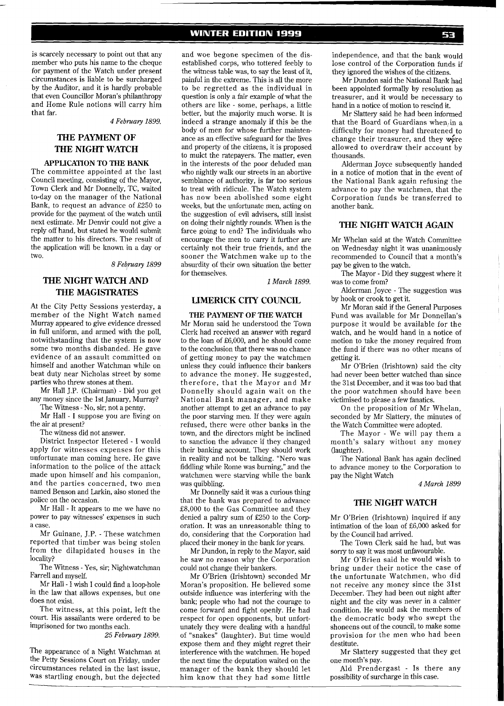is scarcely necessary to point out that any member who puts his name to the cheque for payment of the Watch under present circumstances is liable to be surcharged by the Auditor, and it is hardly probable that even Councillor Moran's philanthropy and Home Rule notions will carry him that far.

*4 February 1899.* 

# **THE PAYMENT OF THE NIGHT WATCH**

#### **APPLICATION TO THE BANK**

The committee appointed at the last Council meeting, consisting of the Mayor, Town Clerk and Mr Donnelly, TC, waited to-day on the manager of the National Bank, to request an advance of £250 to provide for the payment of the watch until next estimate. Mr Denvir could not give a reply off hand, but stated he would submit the matter to his directors. The result of the application will be known in a day or two.

*8 February 1899* 

# **THE NIGHT WATCH AND THE MAGISTRATES**

At the City Petty Sessions yesterday, a member of the Night Watch named Murray appeared to give evidence dressed in full uniform, and armed with the poll, notwithstanding that the system is now some two months disbanded. He gave evidence of an assault committed on himself and another Watchman while on beat duty near Nicholas street by some parties who threw stones at them.

Mr Hall J.P. (Chairman) - Did you get any money since the 1st January, Murray?

The Witness - No, sir; not a penny.

Mr Hall - I suppose you are living on the air at present?

The witness did not answer.

District Inspector Hetered - I would apply for witnesses expenses for this unfortunate man coming here. He gave information to the police of the attack made upon himself and his companion, and the parties concerned, two men named Benson and Larkin, also stoned the police on the occasion.

Mr Hall - It appears to me we have no power to pay witnesses' expenses in such a case.

Mr Guinane, J.P. - These watchmen reported that timber was being stolen from the dilapidated houses in the locality?

The Witness - Yes, sir; Nightwatchman Farrell and myself.

Mr Hall - I wish I could find a loop-hole in the law that allows expenses, but one does not exist.

The witness, at this point, left the court. His assailants were ordered to be imprisoned for two months each.

*25 Febrmary 1899.* 

The appearance of a Night Watchman at the Petty Sessions Court on Friday, under circumstances related in the last issue, was startling enough, but the dejected

#### **WINTER EDITION 1999**

and woe begone specimen of the disestablished corps, who tottered feebly to the witness table was, to say the least of it, painful in the extreme. This is all the more to be regretted as the individual in question is only a fair example of what the others are like - some, perhaps, a little better, but the majority much worse. It is indeed a strange anomaly if this be the body of men for whose further maintenance as an effective safeguard for the lives and property of the citizens, it is proposed to mulct the ratepayers. The matter, even in the interests of the poor deluded man who nightly walk our streets in an abortive semblance of authority, is far too serious to treat with ridicule. The Watch system has now been abolished some eight weeks, but the unfortunate men, acting on the suggestion of evil advisers, still insist on doing their nightly rounds. When is the farce going to end? The individuals who encourage the men to carry it further are certainly not their true friends, and the sooner the Watchmen wake up to the absurdity of their own situation the better for themselves.

*1 March 1899.* 

#### **LIMERICK CITY COUNCIL**

**THE PAYMENT OF THE WATCH**  Mr Moran said he understood the Town Clerk had received an answer with regard to the loan of £6,000, and he should come to the conclusion that there was no chance of getting money to pay the watchmen unless they could influence their bankers to advance the money. He suggested, therefore, that the Mayor and Mr Donnelly should again wait on the National Bank manager, and make another attempt to get an advance to pay the poor starving men. If they were again refused, there were other banks in the town, and the directors might be inclined to sanction the advance if they changed their banking account. They should work in reality and not be talking. "Nero was fiddling while Rome was burning," and the watchmen were starving while the bank was quibbling.

Mr Donnelly said it was a curious thing that the bank was prepared to advance £8,000 to the Gas Committee and they denied a paltry sum of £250 to the Cory oration. It was an unreasonable thing to do, considering that the Corporation had placed their money in the bank for years.

Mr Dundon, in reply to the Mayor, said he saw no reason why the Corporation could not change their bankers.

Mr O'Brien (Irishtown) seconded Mr Moran's proposition. He believed some outside influence was interfering with the bank; people who had not the courage to come forward and fight openly. He had respect for open opponents, but unfortunately they were dealing with a handful of "snakes" (laughter). But time would expose them and they might regret their interference with the watchmen. He hoped the next time the deputation waited on the manager of the bank they should let him know that they had some little

independence, and that the bank would lose control of the Corporation funds if they ignored the wishes of the citizens.

Mr Dundon said the National Bank had been appointed formally by resolution as treasurer, and it would be necessary to hand in a notice of motion to rescind it.

Mr Slattery said he had been informed that the Board of Guardians when,in a difficulty for money had threatened to change their treasurer, and they were allowed to overdraw their account by thousands.

Alderman Joyce subsequently handed in a notice of motion that in the event of the National Bank again refusing the advance to pay the watchmen, that the Corporation funds be transferred to another bank.

## **THE NIGHT WATCH AGAIN**

Mr Whelan said at the Watch Committee on Wednesday night it was unanimously recommended to Council that a month's pay be given to the watch.

The Mayor - Did they suggest where it was to come from?

Alderman Joyce - The suggestion was by hook or crook to get it.

Mr Moran said if the General Purposes Fund was available for Mr Donnellan's purpose it would be available for the watch, and he would hand in a notice of motion to take the money required from the fund if there was no other means of getting it.

Mr O'Brien (Irishtown) said the city had never been better watched than since the 31st December, and it was too bad that the poor watchmen should have been victimised to please a few fanatics.

On the proposition of Mr Whelan, seconded by Mr Slattery, the minutes of the Watch Committee were adopted.

The Mayor - We will pay them a month's salary without any money (laughter).

The National Bank has again declined to advance money to the Corporation to pay the Night Watch

#### *4 March 1899*

#### **THE NIGHT WATCH**

Mr O'Brien (Irishtown) inquired if any intimation of the loan of £6,000 asked for by the Council had arrived.

The Town Clerk said he had, but was sorry to say it was most unfavourable.

Mr O'Brien said he would wish to bring under their notice the case of the unfortunate Watchmen, who did not receive any money since the 31st December. They had been out night after night and the city was never in a calmer condition. He would ask the members of the democratic body who swept the shoneens out of the council, to make some provision for the men who had been destitute.

Mr Slattery suggested that they get one month's pay.

Ald Prendergast - Is there any possibility of surcharge in this case.